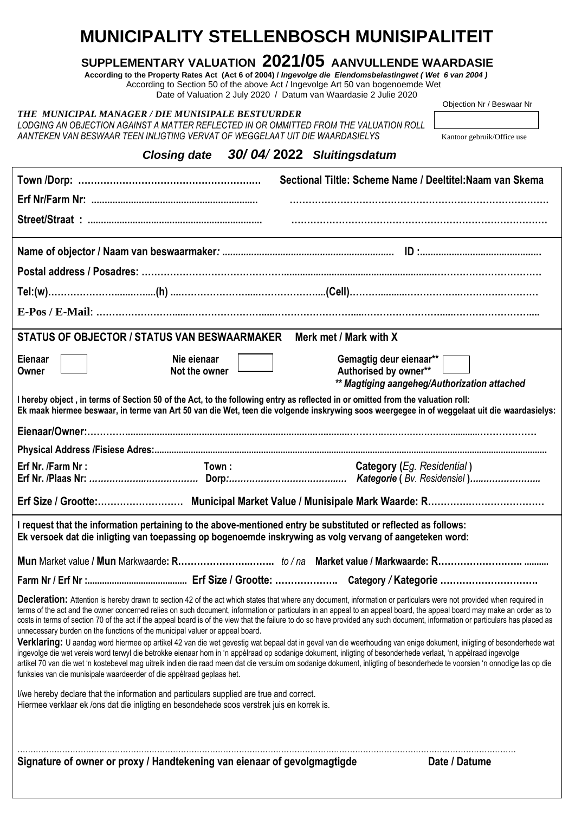## **MUNICIPALITY STELLENBOSCH MUNISIPALITEIT**

## **SUPPLEMENTARY VALUATION 2021/05 AANVULLENDE WAARDASIE**

 **According to the Property Rates Act (Act 6 of 2004) /** *Ingevolge die Eiendomsbelastingwet ( Wet 6 van 2004 )* According to Section 50 of the above Act / Ingevolge Art 50 van bogenoemde Wet

| Signature of owner or proxy / Handtekening van eienaar of gevolgmagtigde                                                                                                              |                              |  |                                                                                                                                                                                                                                                                                                                                                                                                                                                                                                                             | Date / Datume                                                                                                                                                      |
|---------------------------------------------------------------------------------------------------------------------------------------------------------------------------------------|------------------------------|--|-----------------------------------------------------------------------------------------------------------------------------------------------------------------------------------------------------------------------------------------------------------------------------------------------------------------------------------------------------------------------------------------------------------------------------------------------------------------------------------------------------------------------------|--------------------------------------------------------------------------------------------------------------------------------------------------------------------|
| I/we hereby declare that the information and particulars supplied are true and correct.<br>Hiermee verklaar ek /ons dat die inligting en besondehede soos verstrek juis en korrek is. |                              |  |                                                                                                                                                                                                                                                                                                                                                                                                                                                                                                                             |                                                                                                                                                                    |
| unnecessary burden on the functions of the municipal valuer or appeal board.<br>funksies van die munisipale waardeerder of die appèlraad geplaas het.                                 |                              |  | costs in terms of section 70 of the act if the appeal board is of the view that the failure to do so have provided any such document, information or particulars has placed as<br>ingevolge die wet vereis word terwyl die betrokke eienaar hom in 'n appèlraad op sodanige dokument, inligting of besonderhede verlaat, 'n appèlraad ingevolge<br>artikel 70 van die wet 'n kostebevel mag uitreik indien die raad meen dat die versuim om sodanige dokument, inligting of besonderhede te voorsien 'n onnodige las op die | Verklaring: U aandag word hiermee op artikel 42 van die wet gevestig wat bepaal dat in geval van die weerhouding van enige dokument, inligting of besonderhede wat |
|                                                                                                                                                                                       |                              |  | Decleration: Attention is hereby drawn to section 42 of the act which states that where any document, information or particulars were not provided when required in<br>terms of the act and the owner concerned relies on such document, information or particulars in an appeal to an appeal board, the appeal board may make an order as to                                                                                                                                                                               |                                                                                                                                                                    |
|                                                                                                                                                                                       |                              |  |                                                                                                                                                                                                                                                                                                                                                                                                                                                                                                                             |                                                                                                                                                                    |
|                                                                                                                                                                                       |                              |  |                                                                                                                                                                                                                                                                                                                                                                                                                                                                                                                             |                                                                                                                                                                    |
|                                                                                                                                                                                       |                              |  | I request that the information pertaining to the above-mentioned entry be substituted or reflected as follows:<br>Ek versoek dat die inligting van toepassing op bogenoemde inskrywing as volg vervang of aangeteken word:                                                                                                                                                                                                                                                                                                  |                                                                                                                                                                    |
|                                                                                                                                                                                       |                              |  |                                                                                                                                                                                                                                                                                                                                                                                                                                                                                                                             |                                                                                                                                                                    |
| Erf Nr. /Farm Nr :                                                                                                                                                                    | Town:                        |  | Category (Eg. Residential)                                                                                                                                                                                                                                                                                                                                                                                                                                                                                                  |                                                                                                                                                                    |
|                                                                                                                                                                                       |                              |  |                                                                                                                                                                                                                                                                                                                                                                                                                                                                                                                             |                                                                                                                                                                    |
|                                                                                                                                                                                       |                              |  |                                                                                                                                                                                                                                                                                                                                                                                                                                                                                                                             |                                                                                                                                                                    |
|                                                                                                                                                                                       |                              |  |                                                                                                                                                                                                                                                                                                                                                                                                                                                                                                                             | Ek maak hiermee beswaar, in terme van Art 50 van die Wet, teen die volgende inskrywing soos weergegee in of weggelaat uit die waardasielys:                        |
|                                                                                                                                                                                       |                              |  | ** Magtiging aangeheg/Authorization attached<br>I hereby object, in terms of Section 50 of the Act, to the following entry as reflected in or omitted from the valuation roll:                                                                                                                                                                                                                                                                                                                                              |                                                                                                                                                                    |
| Eienaar<br>Owner                                                                                                                                                                      | Nie eienaar<br>Not the owner |  | Gemagtig deur eienaar**  <br>Authorised by owner**                                                                                                                                                                                                                                                                                                                                                                                                                                                                          |                                                                                                                                                                    |
|                                                                                                                                                                                       |                              |  |                                                                                                                                                                                                                                                                                                                                                                                                                                                                                                                             |                                                                                                                                                                    |
| STATUS OF OBJECTOR / STATUS VAN BESWAARMAKER                                                                                                                                          |                              |  | Merk met / Mark with X                                                                                                                                                                                                                                                                                                                                                                                                                                                                                                      |                                                                                                                                                                    |
|                                                                                                                                                                                       |                              |  |                                                                                                                                                                                                                                                                                                                                                                                                                                                                                                                             |                                                                                                                                                                    |
|                                                                                                                                                                                       |                              |  |                                                                                                                                                                                                                                                                                                                                                                                                                                                                                                                             |                                                                                                                                                                    |
|                                                                                                                                                                                       |                              |  |                                                                                                                                                                                                                                                                                                                                                                                                                                                                                                                             |                                                                                                                                                                    |
|                                                                                                                                                                                       |                              |  |                                                                                                                                                                                                                                                                                                                                                                                                                                                                                                                             |                                                                                                                                                                    |
|                                                                                                                                                                                       |                              |  |                                                                                                                                                                                                                                                                                                                                                                                                                                                                                                                             |                                                                                                                                                                    |
|                                                                                                                                                                                       |                              |  |                                                                                                                                                                                                                                                                                                                                                                                                                                                                                                                             |                                                                                                                                                                    |
|                                                                                                                                                                                       |                              |  | Sectional Tiltle: Scheme Name / Deeltitel: Naam van Skema                                                                                                                                                                                                                                                                                                                                                                                                                                                                   |                                                                                                                                                                    |
|                                                                                                                                                                                       |                              |  | Closing date 30/04/2022 Sluitingsdatum                                                                                                                                                                                                                                                                                                                                                                                                                                                                                      |                                                                                                                                                                    |
| AANTEKEN VAN BESWAAR TEEN INLIGTING VERVAT OF WEGGELAAT UIT DIE WAARDASIELYS                                                                                                          |                              |  |                                                                                                                                                                                                                                                                                                                                                                                                                                                                                                                             | Kantoor gebruik/Office use                                                                                                                                         |
| THE MUNICIPAL MANAGER / DIE MUNISIPALE BESTUURDER                                                                                                                                     |                              |  | LODGING AN OBJECTION AGAINST A MATTER REFLECTED IN OR OMMITTED FROM THE VALUATION ROLL                                                                                                                                                                                                                                                                                                                                                                                                                                      |                                                                                                                                                                    |
|                                                                                                                                                                                       |                              |  | Date of Valuation 2 July 2020 / Datum van Waardasie 2 Julie 2020                                                                                                                                                                                                                                                                                                                                                                                                                                                            | Objection Nr / Beswaar Nr                                                                                                                                          |
|                                                                                                                                                                                       |                              |  |                                                                                                                                                                                                                                                                                                                                                                                                                                                                                                                             |                                                                                                                                                                    |